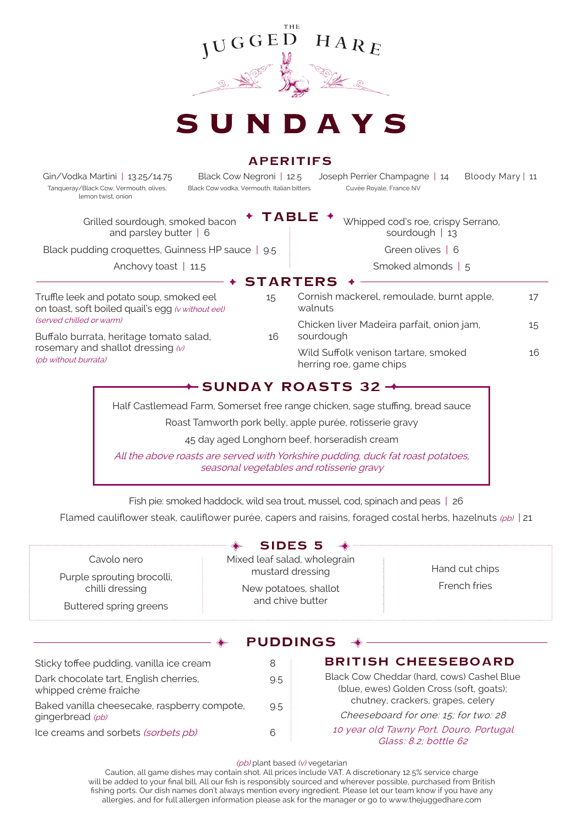

## **APERITIFS**

 Tanqueray/Black Cow, Vermouth, olives, Black Cow vodka, Vermouth, Italian bitters Cuvée Royale, France NV lemon twist, onion

Gin/Vodka Martini | 13.25/14.75 Black Cow Negroni | 12.5 Joseph Perrier Champagne | 14 Bloody Mary | 11

**TABLE**

Grilled sourdough, smoked bacon and parsley butter | 6

Black pudding croquettes, Guinness HP sauce | 9.5

Anchovy toast | 11.5

Truffle leek and potato soup, smoked eel 15 on toast, soft boiled quail's egg (v without eel) (served chilled or warm)

Buffalo burrata, heritage tomato salad, 16 rosemary and shallot dressing  $(w)$ (pb without burrata)

**STARTERS** Cornish mackerel, remoulade, burnt apple, 17 walnuts Chicken liver Madeira parfait, onion jam, 15 sourdough Wild Suffolk venison tartare, smoked 16 herring roe, game chips

Whipped cod's roe, crispy Serrano, sourdough | 13 Green olives | 6 Smoked almonds | 5

## $+$  SUNDAY ROASTS 32  $+$

Half Castlemead Farm, Somerset free range chicken, sage stuffing, bread sauce

Roast Tamworth pork belly, apple purée, rotisserie gravy

45 day aged Longhorn beef, horseradish cream

All the above roasts are served with Yorkshire pudding, duck fat roast potatoes, seasonal vegetables and rotisserie gravy

Fish pie: smoked haddock, wild sea trout, mussel, cod, spinach and peas | 26

Flamed cauliflower steak, cauliflower purée, capers and raisins, foraged costal herbs, hazelnuts  $(\rho b)$  | 21

|                                                                        | <b>SIDES 5</b>                                                                                |                                                                                        |                                   |
|------------------------------------------------------------------------|-----------------------------------------------------------------------------------------------|----------------------------------------------------------------------------------------|-----------------------------------|
| Cavolo nero                                                            | Mixed leaf salad, wholegrain<br>mustard dressing<br>New potatoes, shallot<br>and chive butter |                                                                                        | Hand cut chips<br>French fries    |
| Purple sprouting brocolli,<br>chilli dressing                          |                                                                                               |                                                                                        |                                   |
| Buttered spring greens                                                 |                                                                                               |                                                                                        |                                   |
|                                                                        | <b>PUDDINGS</b>                                                                               |                                                                                        |                                   |
| Sticky toffee pudding, vanilla ice cream<br>8                          |                                                                                               | <b>BRITISH CHEESEBOARD</b>                                                             |                                   |
| Dark chocolate tart, English cherries,<br>9.5<br>whipped crème fraîche |                                                                                               | Black Cow Cheddar (hard, cows) Cashel Blue<br>(blue, ewes) Golden Cross (soft, goats); |                                   |
| Baked vanilla cheesecake, raspberry compote,                           | 9.5                                                                                           |                                                                                        | chutney, crackers, grapes, celery |
| gingerbread (pb)                                                       |                                                                                               | Cheeseboard for one: 15; for two: 28                                                   |                                   |
| 6<br>Ice creams and sorbets (sorbets pb)                               |                                                                                               | 10 year old Tawny Port, Douro, Portugal                                                |                                   |

10 year old Tawny Port, Douro, Portugal Glass: 8.2; bottle 62

(pb) plant based (v) vegetarian

Caution, all game dishes may contain shot. All prices include VAT. A discretionary 12.5% service charge will be added to your final bill. All our fish is responsibly sourced and wherever possible, purchased from British fishing ports. Our dish names don't always mention every ingredient. Please let our team know if you have any allergies, and for full allergen information please ask for the manager or go to www.thejuggedhare.com